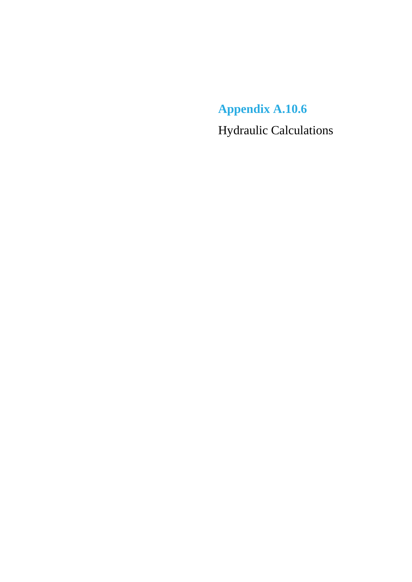**Appendix A.10.6** Hydraulic Calculations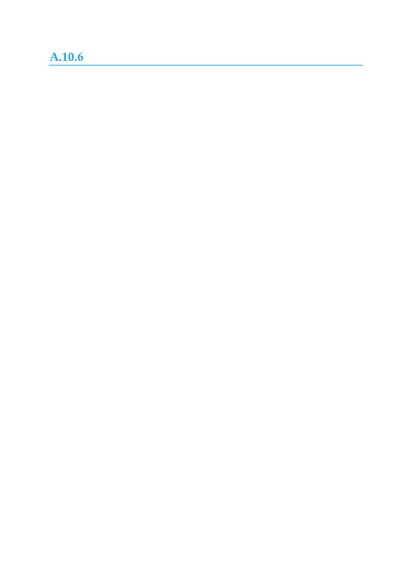## **A.10.6**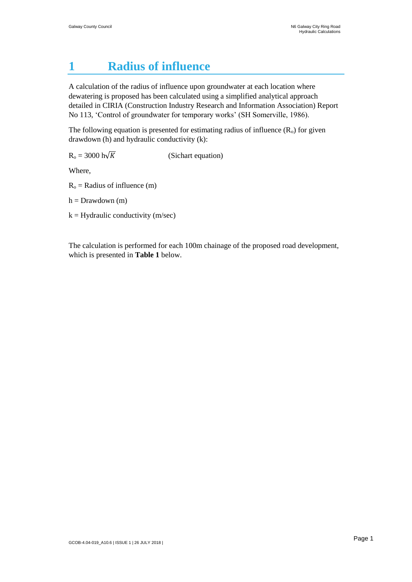## **1 Radius of influence**

A calculation of the radius of influence upon groundwater at each location where dewatering is proposed has been calculated using a simplified analytical approach detailed in CIRIA (Construction Industry Research and Information Association) Report No 113, 'Control of groundwater for temporary works' (SH Somerville, 1986).

The following equation is presented for estimating radius of influence  $(R_0)$  for given drawdown (h) and hydraulic conductivity (k):

 $R_0 = 3000 \text{ h}\sqrt{K}$  (Sichart equation)

Where,

 $R<sub>o</sub>$  = Radius of influence (m)

 $h = Drawdown(m)$ 

 $k =$  Hydraulic conductivity (m/sec)

The calculation is performed for each 100m chainage of the proposed road development, which is presented in **Table 1** below.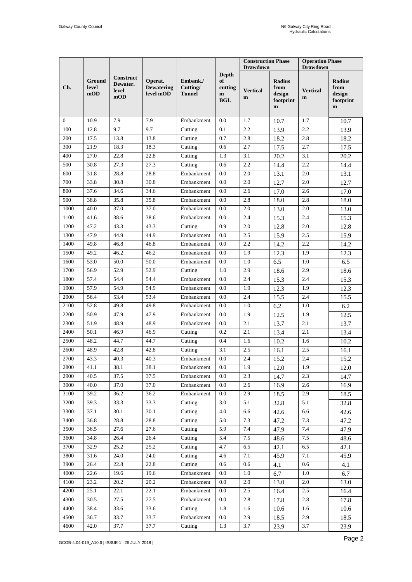|                |                        |                                       |                                           |                                       |                                                             | <b>Construction Phase</b><br><b>Drawdown</b> |                                                    | <b>Operation Phase</b><br><b>Drawdown</b> |                                                             |
|----------------|------------------------|---------------------------------------|-------------------------------------------|---------------------------------------|-------------------------------------------------------------|----------------------------------------------|----------------------------------------------------|-------------------------------------------|-------------------------------------------------------------|
| Ch.            | Ground<br>level<br>mOD | Construct<br>Dewater.<br>level<br>mOD | Operat.<br><b>Dewatering</b><br>level mOD | Embank./<br>Cutting/<br><b>Tunnel</b> | <b>Depth</b><br>of<br>cutting<br>$\mathbf{m}$<br><b>BGL</b> | <b>Vertical</b><br>m                         | Radius<br>from<br>design<br>footprint<br>${\bf m}$ | <b>Vertical</b><br>m                      | <b>Radius</b><br>from<br>design<br>footprint<br>$\mathbf m$ |
| $\overline{0}$ | 10.9                   | 7.9                                   | 7.9                                       | Embankment                            | 0.0                                                         | 1.7                                          | 10.7                                               | 1.7                                       | 10.7                                                        |
| 100            | 12.8                   | 9.7                                   | 9.7                                       | Cutting                               | 0.1                                                         | 2.2                                          | 13.9                                               | 2.2                                       | 13.9                                                        |
| 200            | 17.5                   | 13.8                                  | 13.8                                      | Cutting                               | 0.7                                                         | 2.8                                          | 18.2                                               | 2.8                                       | 18.2                                                        |
| 300            | 21.9                   | 18.3                                  | 18.3                                      | Cutting                               | 0.6                                                         | 2.7                                          | 17.5                                               | 2.7                                       | 17.5                                                        |
| 400            | 27.0                   | 22.8                                  | 22.8                                      | Cutting                               | 1.3                                                         | 3.1                                          | 20.2                                               | 3.1                                       | 20.2                                                        |
| 500            | 30.8                   | 27.3                                  | 27.3                                      | Cutting                               | 0.6                                                         | 2.2                                          | 14.4                                               | 2.2                                       | 14.4                                                        |
| 600            | 31.8                   | 28.8                                  | 28.8                                      | Embankment                            | 0.0                                                         | 2.0                                          | 13.1                                               | 2.0                                       | 13.1                                                        |
| 700            | 33.8                   | 30.8                                  | 30.8                                      | Embankment                            | 0.0                                                         | 2.0                                          | 12.7                                               | $2.0\,$                                   | 12.7                                                        |
| 800            | 37.6                   | 34.6                                  | 34.6                                      | Embankment                            | 0.0                                                         | 2.6                                          | 17.0                                               | 2.6                                       | 17.0                                                        |
| 900            | 38.8                   | 35.8                                  | 35.8                                      | Embankment                            | $0.0\,$                                                     | 2.8                                          | 18.0                                               | 2.8                                       | 18.0                                                        |
| 1000           | 40.0                   | 37.0                                  | 37.0                                      | Embankment                            | 0.0                                                         | 2.0                                          | 13.0                                               | 2.0                                       | 13.0                                                        |
| 1100           | 41.6                   | 38.6                                  | 38.6                                      | Embankment                            | 0.0                                                         | 2.4                                          | 15.3                                               | 2.4                                       | 15.3                                                        |
| 1200           | 47.2                   | 43.3                                  | 43.3                                      | Cutting                               | 0.9                                                         | 2.0                                          | 12.8                                               | 2.0                                       | 12.8                                                        |
| 1300           | 47.9                   | 44.9                                  | 44.9                                      | Embankment                            | 0.0                                                         | 2.5                                          | 15.9                                               | 2.5                                       | 15.9                                                        |
| 1400           | 49.8                   | 46.8                                  | 46.8                                      | Embankment                            | 0.0                                                         | 2.2                                          | 14.2                                               | 2.2                                       | 14.2                                                        |
| 1500           | 49.2                   | 46.2                                  | 46.2                                      | Embankment                            | 0.0                                                         | 1.9                                          | 12.3                                               | 1.9                                       | 12.3                                                        |
| 1600           | 53.0                   | 50.0                                  | 50.0                                      | Embankment                            | 0.0                                                         | 1.0                                          | 6.5                                                | 1.0                                       | 6.5                                                         |
| 1700           | 56.9                   | 52.9                                  | 52.9                                      | Cutting                               | $1.0\,$                                                     | 2.9                                          | 18.6                                               | 2.9                                       | 18.6                                                        |
| 1800           | 57.4                   | 54.4                                  | 54.4                                      | Embankment                            | 0.0                                                         | 2.4                                          | 15.3                                               | 2.4                                       | 15.3                                                        |
| 1900           | 57.9                   | 54.9                                  | 54.9                                      | Embankment                            | 0.0                                                         | 1.9                                          | 12.3                                               | 1.9                                       | 12.3                                                        |
| 2000           | 56.4                   | 53.4                                  | 53.4                                      | Embankment                            | 0.0                                                         | 2.4                                          | 15.5                                               | 2.4                                       | 15.5                                                        |
| 2100           | 52.8                   | 49.8                                  | 49.8                                      | Embankment                            | 0.0                                                         | 1.0                                          | 6.2                                                | 1.0                                       | 6.2                                                         |
| 2200           | 50.9                   | 47.9                                  | 47.9                                      | Embankment                            | 0.0                                                         | 1.9                                          | 12.5                                               | 1.9                                       | 12.5                                                        |
| 2300           | 51.9                   | 48.9                                  | 48.9                                      | Embankment                            | 0.0                                                         | 2.1                                          | 13.7                                               | 2.1                                       | 13.7                                                        |
| 2400           | 50.1                   | 46.9                                  | 46.9                                      | $\overline{\mathrm{C}}$ utting        | 0.2                                                         | 2.1                                          | 13.4                                               | 2.1                                       | 13.4                                                        |
| 2500           | 48.2                   | 44.7                                  | 44.7                                      | Cutting                               | 0.4                                                         | 1.6                                          | 10.2                                               | 1.6                                       | 10.2                                                        |
| 2600           | 48.9                   | 42.8                                  | 42.8                                      | Cutting                               | 3.1                                                         | 2.5                                          | 16.1                                               | 2.5                                       | 16.1                                                        |
| 2700           | 43.3                   | 40.3                                  | 40.3                                      | Embankment                            | 0.0                                                         | 2.4                                          | 15.2                                               | 2.4                                       | 15.2                                                        |
| 2800           | 41.1                   | 38.1                                  | 38.1                                      | Embankment                            | 0.0                                                         | 1.9                                          | 12.0                                               | 1.9                                       | 12.0                                                        |
| 2900           | 40.5                   | 37.5                                  | 37.5                                      | Embankment                            | 0.0                                                         | 2.3                                          | 14.7                                               | 2.3                                       | 14.7                                                        |
| 3000           | 40.0                   | 37.0                                  | 37.0                                      | Embankment                            | 0.0                                                         | 2.6                                          | 16.9                                               | 2.6                                       | 16.9                                                        |
| 3100           | 39.2                   | 36.2                                  | 36.2                                      | Embankment                            | 0.0                                                         | 2.9                                          | 18.5                                               | 2.9                                       | 18.5                                                        |
| 3200           | 39.3                   | 33.3                                  | 33.3                                      | Cutting                               | 3.0                                                         | 5.1                                          | 32.8                                               | 5.1                                       | 32.8                                                        |
| 3300           | 37.1                   | 30.1                                  | 30.1                                      | Cutting                               | 4.0                                                         | 6.6                                          | 42.6                                               | 6.6                                       | 42.6                                                        |
| 3400           | 36.8                   | 28.8                                  | 28.8                                      | Cutting                               | 5.0                                                         | 7.3                                          | 47.2                                               | 7.3                                       | 47.2                                                        |
| 3500           | 36.5                   | 27.6                                  | 27.6                                      | Cutting                               | 5.9                                                         | 7.4                                          | 47.9                                               | 7.4                                       | 47.9                                                        |
| 3600           | 34.8                   | $\overline{2}6.4$                     | $\overline{26.4}$                         | Cutting                               | 5.4                                                         | 7.5                                          | 48.6                                               | 7.5                                       | 48.6                                                        |
| 3700           | 32.9                   | $\overline{2}5.2$                     | $\overline{2}5.2$                         | Cutting                               | 4.7                                                         | 6.5                                          | 42.1                                               | 6.5                                       | 42.1                                                        |
| 3800           | 31.6                   | 24.0                                  | 24.0                                      | Cutting                               | 4.6                                                         | 7.1                                          | 45.9                                               | 7.1                                       | 45.9                                                        |
| 3900           | 26.4                   | 22.8                                  | 22.8                                      | Cutting                               | $0.6\,$                                                     | $0.6\,$                                      | 4.1                                                | 0.6                                       | 4.1                                                         |
| 4000           | 22.6                   | 19.6                                  | 19.6                                      | Embankment                            | 0.0                                                         | $1.0\,$                                      | 6.7                                                | 1.0                                       | 6.7                                                         |
| 4100           | 23.2                   | 20.2                                  | 20.2                                      | Embankment                            | $0.0\,$                                                     | 2.0                                          | 13.0                                               | 2.0                                       | 13.0                                                        |
| 4200           | 25.1                   | 22.1                                  | 22.1                                      | Embankment                            | 0.0                                                         | 2.5                                          | 16.4                                               | 2.5                                       | 16.4                                                        |
| 4300           | 30.5                   | $\overline{27.5}$                     | 27.5                                      | Embankment                            | 0.0                                                         | 2.8                                          | 17.8                                               | 2.8                                       | 17.8                                                        |
| 4400           | 38.4                   | 33.6                                  | 33.6                                      | Cutting                               | 1.8                                                         | 1.6                                          | 10.6                                               | 1.6                                       | 10.6                                                        |
| 4500           | 36.7                   | 33.7                                  | 33.7                                      | Embankment                            | 0.0                                                         | 2.9                                          | 18.5                                               | 2.9                                       | 18.5                                                        |
| 4600           | 42.0                   | 37.7                                  | 37.7                                      | Cutting                               | 1.3                                                         | 3.7                                          | 23.9                                               | 3.7                                       | 23.9                                                        |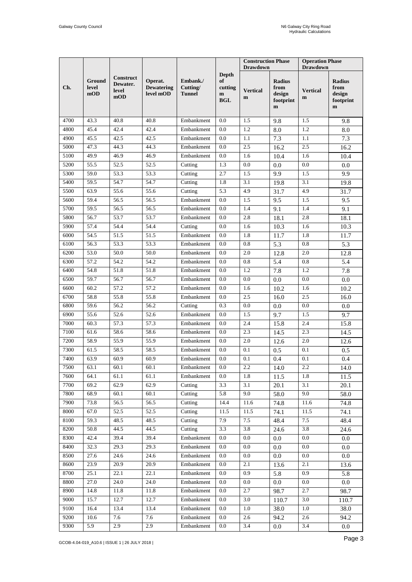|      |                        |                                       |                                           |                                       |                                                  | <b>Construction Phase</b><br><b>Drawdown</b> |                                                              | <b>Operation Phase</b><br><b>Drawdown</b> |                                                             |
|------|------------------------|---------------------------------------|-------------------------------------------|---------------------------------------|--------------------------------------------------|----------------------------------------------|--------------------------------------------------------------|-------------------------------------------|-------------------------------------------------------------|
| Ch.  | Ground<br>level<br>mOD | Construct<br>Dewater.<br>level<br>mOD | Operat.<br><b>Dewatering</b><br>level mOD | Embank./<br>Cutting/<br><b>Tunnel</b> | <b>Depth</b><br>of<br>cutting<br>m<br><b>BGL</b> | <b>Vertical</b><br>$\mathbf m$               | <b>Radius</b><br>from<br>design<br>footprint<br>$\mathbf{m}$ | <b>Vertical</b><br>m                      | <b>Radius</b><br>from<br>design<br>footprint<br>$\mathbf m$ |
| 4700 | 43.3                   | 40.8                                  | 40.8                                      | Embankment                            | 0.0                                              | 1.5                                          | 9.8                                                          | 1.5                                       | 9.8                                                         |
| 4800 | 45.4                   | 42.4                                  | 42.4                                      | Embankment                            | 0.0                                              | 1.2                                          | 8.0                                                          | 1.2                                       | 8.0                                                         |
| 4900 | 45.5                   | 42.5                                  | 42.5                                      | Embankment                            | $0.0\,$                                          | 1.1                                          | 7.3                                                          | 1.1                                       | $\overline{7.3}$                                            |
| 5000 | 47.3                   | 44.3                                  | 44.3                                      | Embankment                            | 0.0                                              | 2.5                                          | 16.2                                                         | 2.5                                       | 16.2                                                        |
| 5100 | 49.9                   | 46.9                                  | 46.9                                      | Embankment                            | 0.0                                              | 1.6                                          | 10.4                                                         | 1.6                                       | 10.4                                                        |
| 5200 | 55.5                   | 52.5                                  | 52.5                                      | Cutting                               | 1.3                                              | 0.0                                          | 0.0                                                          | 0.0                                       | 0.0                                                         |
| 5300 | 59.0                   | 53.3                                  | 53.3                                      | Cutting                               | 2.7                                              | 1.5                                          | 9.9                                                          | 1.5                                       | 9.9                                                         |
| 5400 | 59.5                   | 54.7                                  | 54.7                                      | Cutting                               | 1.8                                              | 3.1                                          | 19.8                                                         | 3.1                                       | 19.8                                                        |
| 5500 | 63.9                   | 55.6                                  | 55.6                                      | Cutting                               | 5.3                                              | 4.9                                          | 31.7                                                         | 4.9                                       | 31.7                                                        |
| 5600 | 59.4                   | 56.5                                  | 56.5                                      | Embankment                            | 0.0                                              | 1.5                                          | 9.5                                                          | 1.5                                       | 9.5                                                         |
| 5700 | 59.5                   | 56.5                                  | 56.5                                      | Embankment                            | $0.0\,$                                          | 1.4                                          | 9.1                                                          | 1.4                                       | 9.1                                                         |
| 5800 | 56.7                   | 53.7                                  | 53.7                                      | Embankment                            | 0.0                                              | 2.8                                          | 18.1                                                         | 2.8                                       | 18.1                                                        |
| 5900 | 57.4                   | 54.4                                  | 54.4                                      | Cutting                               | 0.0                                              | 1.6                                          | 10.3                                                         | 1.6                                       | 10.3                                                        |
| 6000 | 54.5                   | 51.5                                  | 51.5                                      | Embankment                            | 0.0                                              | 1.8                                          | 11.7                                                         | 1.8                                       | 11.7                                                        |
| 6100 | 56.3                   | 53.3                                  | 53.3                                      | Embankment                            | 0.0                                              | 0.8                                          | 5.3                                                          | 0.8                                       | 5.3                                                         |
| 6200 | 53.0                   | 50.0                                  | 50.0                                      | Embankment                            | 0.0                                              | 2.0                                          | 12.8                                                         | 2.0                                       | 12.8                                                        |
| 6300 | 57.2                   | 54.2                                  | 54.2                                      | Embankment                            | 0.0                                              | 0.8                                          | 5.4                                                          | 0.8                                       | 5.4                                                         |
| 6400 | 54.8                   | 51.8                                  | 51.8                                      | Embankment                            | 0.0                                              | 1.2                                          | 7.8                                                          | 1.2                                       | 7.8                                                         |
| 6500 | 59.7                   | 56.7                                  | 56.7                                      | Embankment                            | $0.0\,$                                          | 0.0                                          | 0.0                                                          | 0.0                                       | 0.0                                                         |
| 6600 | 60.2                   | 57.2                                  | 57.2                                      | Embankment                            | 0.0                                              | 1.6                                          | 10.2                                                         | 1.6                                       | 10.2                                                        |
| 6700 | 58.8                   | 55.8                                  | 55.8                                      | Embankment                            | 0.0                                              | 2.5                                          | 16.0                                                         | 2.5                                       | 16.0                                                        |
| 6800 | 59.6                   | 56.2                                  | 56.2                                      | Cutting                               | 0.3                                              | 0.0                                          | 0.0                                                          | 0.0                                       | 0.0                                                         |
| 6900 | 55.6                   | 52.6                                  | 52.6                                      | Embankment                            | 0.0                                              | 1.5                                          | 9.7                                                          | 1.5                                       | 9.7                                                         |
| 7000 | 60.3                   | 57.3                                  | 57.3                                      | Embankment                            | 0.0                                              | 2.4                                          | 15.8                                                         | 2.4                                       | 15.8                                                        |
| 7100 | 61.6                   | 58.6                                  | 58.6                                      | Embankment                            | 0.0                                              | 2.3                                          | 14.5                                                         | 2.3                                       | 14.5                                                        |
| 7200 | 58.9                   | 55.9                                  | 55.9                                      | Embankment                            | 0.0                                              | 2.0                                          | 12.6                                                         | 2.0                                       | 12.6                                                        |
| 7300 | 61.5                   | 58.5                                  | 58.5                                      | Embankment                            | 0.0                                              | 0.1                                          | 0.5                                                          | 0.1                                       | 0.5                                                         |
| 7400 | 63.9                   | 60.9                                  | 60.9                                      | Embankment                            | 0.0                                              | 0.1                                          | 0.4                                                          | 0.1                                       | 0.4                                                         |
| 7500 | 63.1                   | 60.1                                  | 60.1                                      | Embankment                            | 0.0                                              | 2.2                                          | 14.0                                                         | 2.2                                       | 14.0                                                        |
| 7600 | 64.1                   | 61.1                                  | 61.1                                      | Embankment                            | $0.0\,$                                          | 1.8                                          | 11.5                                                         | 1.8                                       | 11.5                                                        |
| 7700 | 69.2                   | 62.9                                  | 62.9                                      | Cutting                               | 3.3                                              | 3.1                                          | 20.1                                                         | 3.1                                       | 20.1                                                        |
| 7800 | 68.9                   | 60.1                                  | 60.1                                      | Cutting                               | 5.8                                              | 9.0                                          | 58.0                                                         | 9.0                                       | 58.0                                                        |
| 7900 | 73.8                   | 56.5                                  | 56.5                                      | Cutting                               | 14.4                                             | 11.6                                         | 74.8                                                         | 11.6                                      | 74.8                                                        |
| 8000 | 67.0                   | 52.5                                  | 52.5                                      | Cutting                               | 11.5                                             | 11.5                                         | 74.1                                                         | 11.5                                      | 74.1                                                        |
| 8100 | 59.3                   | 48.5                                  | 48.5                                      | Cutting                               | 7.9                                              | 7.5                                          | 48.4                                                         | 7.5                                       | 48.4                                                        |
| 8200 | 50.8                   | 44.5                                  | 44.5                                      | Cutting                               | 3.3                                              | 3.8                                          | 24.6                                                         | 3.8                                       | 24.6                                                        |
| 8300 | 42.4                   | 39.4                                  | 39.4                                      | Embankment                            | 0.0                                              | 0.0                                          | $0.0\,$                                                      | 0.0                                       | $0.0\,$                                                     |
| 8400 | 32.3                   | 29.3                                  | 29.3                                      | Embankment                            | $0.0\,$                                          | $0.0\,$                                      | $0.0\,$                                                      | $0.0\,$                                   | $0.0\,$                                                     |
| 8500 | 27.6                   | 24.6                                  | 24.6                                      | Embankment                            | 0.0                                              | 0.0                                          | $0.0\,$                                                      | $0.0\,$                                   | $0.0\,$                                                     |
| 8600 | 23.9                   | 20.9                                  | 20.9                                      | Embankment                            | 0.0                                              | 2.1                                          | 13.6                                                         | 2.1                                       | 13.6                                                        |
| 8700 | 25.1                   | 22.1                                  | 22.1                                      | Embankment                            | 0.0                                              | 0.9                                          | 5.8                                                          | 0.9                                       | 5.8                                                         |
| 8800 | 27.0                   | 24.0                                  | 24.0                                      | Embankment                            | 0.0                                              | 0.0                                          | $0.0\,$                                                      | $0.0\,$                                   | 0.0                                                         |
| 8900 | 14.8                   | 11.8                                  | 11.8                                      | Embankment                            | 0.0                                              | 2.7                                          | 98.7                                                         | 2.7                                       | 98.7                                                        |
| 9000 | 15.7                   | 12.7                                  | 12.7                                      | Embankment                            | 0.0                                              | 3.0                                          | 110.7                                                        | 3.0                                       | 110.7                                                       |
| 9100 | 16.4                   | 13.4                                  | 13.4                                      | Embankment                            | 0.0                                              | 1.0                                          | 38.0                                                         | 1.0                                       | 38.0                                                        |
| 9200 | 10.6                   | 7.6                                   | 7.6                                       | Embankment                            | $0.0\,$                                          | 2.6                                          | 94.2                                                         | 2.6                                       | 94.2                                                        |
| 9300 | 5.9                    | 2.9                                   | 2.9                                       | Embankment                            | $0.0\,$                                          | 3.4                                          | $0.0\,$                                                      | 3.4                                       | $0.0\,$                                                     |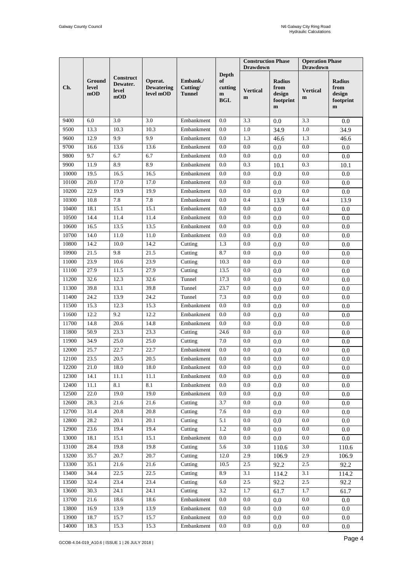|       |                        |                                       |                                           |                                       |                                                             | <b>Construction Phase</b><br><b>Drawdown</b> |                                                              | <b>Operation Phase</b><br><b>Drawdown</b> |                                                             |
|-------|------------------------|---------------------------------------|-------------------------------------------|---------------------------------------|-------------------------------------------------------------|----------------------------------------------|--------------------------------------------------------------|-------------------------------------------|-------------------------------------------------------------|
| Ch.   | Ground<br>level<br>mOD | Construct<br>Dewater.<br>level<br>mOD | Operat.<br><b>Dewatering</b><br>level mOD | Embank./<br>Cutting/<br><b>Tunnel</b> | <b>Depth</b><br>of<br>cutting<br>$\mathbf{m}$<br><b>BGL</b> | <b>Vertical</b><br>$\mathbf{m}$              | <b>Radius</b><br>from<br>design<br>footprint<br>$\mathbf{m}$ | <b>Vertical</b><br>m                      | <b>Radius</b><br>from<br>design<br>footprint<br>$\mathbf m$ |
| 9400  | 6.0                    | 3.0                                   | 3.0                                       | Embankment                            | 0.0                                                         | 3.3                                          | 0.0                                                          | 3.3                                       | 0.0                                                         |
| 9500  | 13.3                   | 10.3                                  | 10.3                                      | Embankment                            | 0.0                                                         | 1.0                                          | 34.9                                                         | 1.0                                       | 34.9                                                        |
| 9600  | 12.9                   | 9.9                                   | 9.9                                       | Embankment                            | $0.0\,$                                                     | 1.3                                          | 46.6                                                         | 1.3                                       | 46.6                                                        |
| 9700  | 16.6                   | 13.6                                  | 13.6                                      | Embankment                            | 0.0                                                         | 0.0                                          | 0.0                                                          | 0.0                                       | 0.0                                                         |
| 9800  | 9.7                    | 6.7                                   | 6.7                                       | Embankment                            | 0.0                                                         | 0.0                                          | 0.0                                                          | 0.0                                       | 0.0                                                         |
| 9900  | 11.9                   | 8.9                                   | 8.9                                       | Embankment                            | 0.0                                                         | 0.3                                          | 10.1                                                         | 0.3                                       | 10.1                                                        |
| 10000 | 19.5                   | 16.5                                  | 16.5                                      | Embankment                            | 0.0                                                         | 0.0                                          | 0.0                                                          | 0.0                                       | 0.0                                                         |
| 10100 | 20.0                   | 17.0                                  | 17.0                                      | Embankment                            | 0.0                                                         | 0.0                                          | 0.0                                                          | 0.0                                       | 0.0                                                         |
| 10200 | 22.9                   | 19.9                                  | 19.9                                      | Embankment                            | 0.0                                                         | 0.0                                          | 0.0                                                          | 0.0                                       | 0.0                                                         |
| 10300 | 10.8                   | 7.8                                   | 7.8                                       | Embankment                            | 0.0                                                         | 0.4                                          | 13.9                                                         | 0.4                                       | 13.9                                                        |
| 10400 | 18.1                   | 15.1                                  | 15.1                                      | Embankment                            | 0.0                                                         | 0.0                                          | 0.0                                                          | 0.0                                       | $0.0\,$                                                     |
| 10500 | 14.4                   | 11.4                                  | 11.4                                      | Embankment                            | 0.0                                                         | 0.0                                          | 0.0                                                          | 0.0                                       | 0.0                                                         |
| 10600 | 16.5                   | 13.5                                  | 13.5                                      | Embankment                            | 0.0                                                         | 0.0                                          | 0.0                                                          | 0.0                                       | $0.0\,$                                                     |
| 10700 | 14.0                   | 11.0                                  | 11.0                                      | Embankment                            | 0.0                                                         | 0.0                                          | 0.0                                                          | 0.0                                       | 0.0                                                         |
| 10800 | 14.2                   | 10.0                                  | 14.2                                      | Cutting                               | 1.3                                                         | 0.0                                          | 0.0                                                          | 0.0                                       | $0.0\,$                                                     |
| 10900 | 21.5                   | 9.8                                   | 21.5                                      | Cutting                               | 8.7                                                         | 0.0                                          | 0.0                                                          | 0.0                                       | 0.0                                                         |
| 11000 | 23.9                   | 10.6                                  | 23.9                                      | Cutting                               | 10.3                                                        | 0.0                                          | 0.0                                                          | 0.0                                       | 0.0                                                         |
| 11100 | 27.9                   | 11.5                                  | 27.9                                      | Cutting                               | 13.5                                                        | 0.0                                          | 0.0                                                          | 0.0                                       | 0.0                                                         |
| 11200 | 32.6                   | 12.3                                  | 32.6                                      | Tunnel                                | 17.3                                                        | 0.0                                          | $0.0\,$                                                      | 0.0                                       | $0.0\,$                                                     |
| 11300 | 39.8                   | 13.1                                  | 39.8                                      | Tunnel                                | 23.7                                                        | 0.0                                          | 0.0                                                          | 0.0                                       | $0.0\,$                                                     |
| 11400 | 24.2                   | 13.9                                  | 24.2                                      | Tunnel                                | 7.3                                                         | 0.0                                          | 0.0                                                          | 0.0                                       | 0.0                                                         |
| 11500 | 15.3                   | 12.3                                  | 15.3                                      | Embankment                            | 0.0                                                         | 0.0                                          | 0.0                                                          | 0.0                                       | 0.0                                                         |
| 11600 | 12.2                   | 9.2                                   | 12.2                                      | Embankment                            | 0.0                                                         | 0.0                                          | 0.0                                                          | 0.0                                       | $0.0\,$                                                     |
| 11700 | 14.8                   | 20.6                                  | 14.8                                      | Embankment                            | 0.0                                                         | 0.0                                          | 0.0                                                          | 0.0                                       | $0.0\,$                                                     |
| 11800 | 50.9                   | 23.3                                  | 23.3                                      | Cutting                               | 24.6                                                        | 0.0                                          | 0.0                                                          | 0.0                                       | 0.0                                                         |
| 11900 | 34.9                   | 25.0                                  | 25.0                                      | Cutting                               | $7.0\,$                                                     | 0.0                                          | 0.0                                                          | 0.0                                       | $0.0\,$                                                     |
| 12000 | 25.7                   | 22.7                                  | 22.7                                      | Embankment                            | 0.0                                                         | 0.0                                          | 0.0                                                          | 0.0                                       | $0.0\,$                                                     |
| 12100 | 23.5                   | 20.5                                  | 20.5                                      | Embankment                            | 0.0                                                         | 0.0                                          | 0.0                                                          | 0.0                                       | 0.0                                                         |
| 12200 | 21.0                   | 18.0                                  | 18.0                                      | Embankment                            | $0.0\,$                                                     | $0.0\,$                                      | $0.0\,$                                                      | 0.0                                       | 0.0                                                         |
| 12300 | 14.1                   | 11.1                                  | 11.1                                      | Embankment                            | 0.0                                                         | 0.0                                          | 0.0                                                          | $0.0\,$                                   | 0.0                                                         |
| 12400 | 11.1                   | 8.1                                   | 8.1                                       | Embankment                            | 0.0                                                         | 0.0                                          | 0.0                                                          | $0.0\,$                                   | 0.0                                                         |
| 12500 | 22.0                   | 19.0                                  | 19.0                                      | Embankment                            | 0.0                                                         | 0.0                                          | 0.0                                                          | 0.0                                       | 0.0                                                         |
| 12600 | 28.3                   | 21.6                                  | 21.6                                      | Cutting                               | 3.7                                                         | 0.0                                          | 0.0                                                          | $0.0\,$                                   | 0.0                                                         |
| 12700 | 31.4                   | 20.8                                  | 20.8                                      | Cutting                               | 7.6                                                         | $0.0\,$                                      | 0.0                                                          | 0.0                                       | 0.0                                                         |
| 12800 | 28.2                   | 20.1                                  | 20.1                                      | Cutting                               | 5.1                                                         | $0.0\,$                                      | 0.0                                                          | 0.0                                       | $0.0\,$                                                     |
| 12900 | 23.6                   | 19.4                                  | 19.4                                      | Cutting                               | 1.2                                                         | 0.0                                          | 0.0                                                          | 0.0                                       | $0.0\,$                                                     |
| 13000 | 18.1                   | $\overline{1}$ 5.1                    | 15.1                                      | Embankment                            | 0.0                                                         | $0.0\,$                                      | 0.0                                                          | $0.0\,$                                   | 0.0                                                         |
| 13100 | 28.4                   | 19.8                                  | 19.8                                      | Cutting                               | 5.6                                                         | 3.0                                          | 110.6                                                        | 3.0                                       | 110.6                                                       |
| 13200 | 35.7                   | 20.7                                  | 20.7                                      | Cutting                               | 12.0                                                        | 2.9                                          | 106.9                                                        | 2.9                                       | 106.9                                                       |
| 13300 | 35.1                   | 21.6                                  | 21.6                                      | Cutting                               | 10.5                                                        | $2.5\,$                                      | 92.2                                                         | $2.5\,$                                   | 92.2                                                        |
| 13400 | 34.4                   | 22.5                                  | 22.5                                      | Cutting                               | 8.9                                                         | 3.1                                          | 114.2                                                        | 3.1                                       | 114.2                                                       |
| 13500 | 32.4                   | 23.4                                  | 23.4                                      | Cutting                               | 6.0                                                         | 2.5                                          | 92.2                                                         | 2.5                                       | 92.2                                                        |
| 13600 | 30.3                   | 24.1                                  | 24.1                                      | Cutting                               | $\overline{3.2}$                                            | 1.7                                          | 61.7                                                         | 1.7                                       | 61.7                                                        |
| 13700 | 21.6                   | 18.6                                  | 18.6                                      | Embankment                            | 0.0                                                         | 0.0                                          | 0.0                                                          | $0.0\,$                                   | $0.0\,$                                                     |
| 13800 | 16.9                   | 13.9                                  | 13.9                                      | Embankment                            | 0.0                                                         | $0.0\,$                                      | 0.0                                                          | $0.0\,$                                   | 0.0                                                         |
| 13900 | 18.7                   | 15.7                                  | 15.7                                      | Embankment                            | 0.0                                                         | 0.0                                          | 0.0                                                          | $0.0\,$                                   | 0.0                                                         |
| 14000 | 18.3                   | 15.3                                  | 15.3                                      | Embankment                            | 0.0                                                         | 0.0                                          | 0.0                                                          | $0.0\,$                                   | 0.0                                                         |